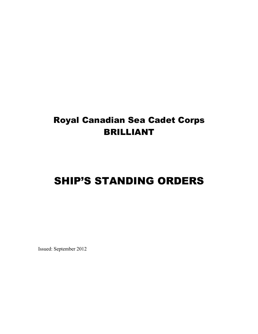# Royal Canadian Sea Cadet Corps BRILLIANT

# SHIP'S STANDING ORDERS

Issued: September 2012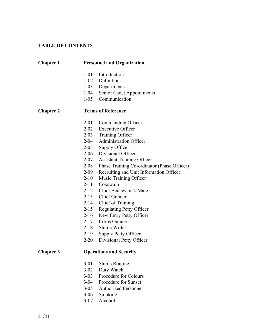## **TABLE OF CONTENTS**

# **Chapter 1 Personnel and Organization**

- -01 Introduction
- 1-02 Definitions
- -03 Departments
- -04 Senior Cadet Appointments
- -05 Communication

#### **Chapter 2 Terms of Reference**

- -01 Commanding Officer
- -02 Executive Officer
- -03 Training Officer
- -04 Administration Officer
- -05 Supply Officer
- -06 Divisional Officer
- -07 Assistant Training Officer
- -08 Phase Training Co-ordinator (Phase Officer)
- -09 Recruiting and Unit Information Officer
- -10 Music Training Officer
- -11 Coxswain
- -12 Chief Boatswain's Mate
- -13 Chief Gunner
- -14 Chief of Training
- -15 Regulating Petty Officer
- -16 New Entry Petty Officer
- -17 Corps Gunner
- -18 Ship's Writer
- -19 Supply Petty Officer
- -20 Divisional Petty Officer

#### **Chapter 3 Operations and Security**

- -01 Ship's Routine
- -02 Duty Watch
- -03 Procedure for Colours
- -04 Procedure for Sunset
- -05 Authorized Personnel
- -06 Smoking
- 3-07 Alcohol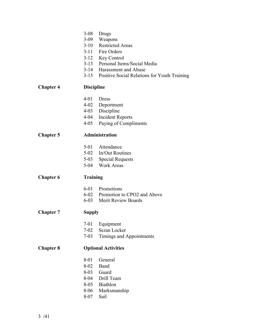|                  | $3 - 08$<br>$3 - 09$<br>$3-10$                                           | Drugs<br>Weapons<br><b>Restricted Areas</b><br>3-11 Fire Orders<br>3-12 Key Control<br>3-13 Personal Items/Social Media<br>3-14 Harassment and Abuse<br>3-15 Positive Social Relations for Youth Training |  |
|------------------|--------------------------------------------------------------------------|-----------------------------------------------------------------------------------------------------------------------------------------------------------------------------------------------------------|--|
| <b>Chapter 4</b> | <b>Discipline</b>                                                        |                                                                                                                                                                                                           |  |
|                  | 4-01<br>$4 - 03$<br>4-04<br>$4 - 05$                                     | <b>Dress</b><br>4-02 Deportment<br>Discipline<br><b>Incident Reports</b><br>Paying of Compliments                                                                                                         |  |
| <b>Chapter 5</b> | <b>Administration</b>                                                    |                                                                                                                                                                                                           |  |
|                  | 5-01<br>$5-03$                                                           | Attendance<br>5-02 In/Out Routines<br><b>Special Requests</b><br>5-04 Work Areas                                                                                                                          |  |
| <b>Chapter 6</b> | <b>Training</b>                                                          |                                                                                                                                                                                                           |  |
|                  |                                                                          | 6-01 Promotions<br>6-02 Promotion to CPO2 and Above<br>6-03 Merit Review Boards                                                                                                                           |  |
| <b>Chapter 7</b> | <b>Supply</b>                                                            |                                                                                                                                                                                                           |  |
|                  | $7-01$<br>$7 - 02$<br>$7 - 03$                                           | Equipment<br>Scran Locker<br><b>Timings and Appointments</b>                                                                                                                                              |  |
| <b>Chapter 8</b> |                                                                          | <b>Optional Activities</b>                                                                                                                                                                                |  |
|                  | 8-01<br>$8 - 02$<br>$8 - 03$<br>8-04<br>$8 - 05$<br>$8 - 06$<br>$8 - 07$ | General<br>Band<br>Guard<br>Drill Team<br>Biathlon<br>Marksmanship<br>Sail                                                                                                                                |  |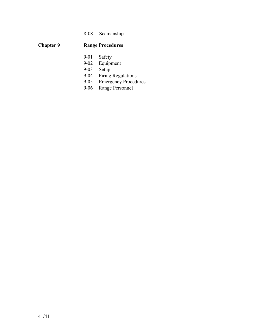# 8-08 Seamanship

# **Chapter 9 Range Procedures**

- 9-01 Safety<br>9-02 Equipm
- 9-02 Equipment<br>9-03 Setup
- 
- 9-03 Setup<br>9-04 Firing Firing Regulations
- 9-05 Emergency Procedures<br>9-06 Range Personnel
- Range Personnel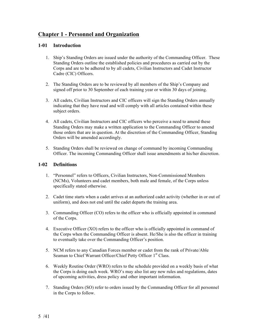# **Chapter 1 - Personnel and Organization**

## **1-01 Introduction**

- 1. Ship's Standing Orders are issued under the authority of the Commanding Officer. These Standing Orders outline the established policies and procedures as carried out by the Corps and are to be adhered to by all cadets, Civilian Instructors and Cadet Instructor Cadre (CIC) Officers.
- 2. The Standing Orders are to be reviewed by all members of the Ship's Company and signed off prior to 30 September of each training year or within 30 days of joining.
- 3. All cadets, Civilian Instructors and CIC officers will sign the Standing Orders annually indicating that they have read and will comply with all articles contained within these subject orders.
- 4. All cadets, Civilian Instructors and CIC officers who perceive a need to amend these Standing Orders may make a written application to the Commanding Officer to amend those orders that are in question. At the discretion of the Commanding Officer, Standing Orders will be amended accordingly.
- 5. Standing Orders shall be reviewed on change of command by incoming Commanding Officer. The incoming Commanding Officer shall issue amendments at his/her discretion.

#### **1-02 Definitions**

- 1. "Personnel" refers to Officers, Civilian Instructors, Non-Commissioned Members (NCMs), Volunteers and cadet members, both male and female, of the Corps unless specifically stated otherwise.
- 2. Cadet time starts when a cadet arrives at an authorized cadet activity (whether in or out of uniform), and does not end until the cadet departs the training area.
- 3. Commanding Officer (CO) refers to the officer who is officially appointed in command of the Corps.
- 4. Executive Officer (XO) refers to the officer who is officially appointed in command of the Corps when the Commanding Officer is absent. He/She is also the officer in training to eventually take over the Commanding Officer's position.
- 5. NCM refers to any Canadian Forces member or cadet from the rank of Private/Able Seaman to Chief Warrant Officer/Chief Petty Officer 1<sup>st</sup> Class.
- 6. Weekly Routine Order (WRO) refers to the schedule provided on a weekly basis of what the Corps is doing each week. WRO's may also list any new rules and regulations, dates of upcoming activities, dress policy and other important information.
- 7. Standing Orders (SO) refer to orders issued by the Commanding Officer for all personnel in the Corps to follow.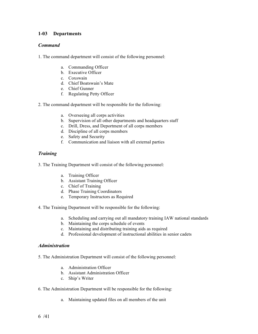## **1-03 Departments**

#### *Command*

1. The command department will consist of the following personnel:

- a. Commanding Officer
- b. Executive Officer
- c. Coxswain
- d. Chief Boatswain's Mate
- e. Chief Gunner
- f. Regulating Petty Officer
- 2. The command department will be responsible for the following:
	- a. Overseeing all corps activities
	- b. Supervision of all other departments and headquarters staff
	- c. Drill, Dress, and Deportment of all corps members
	- d. Discipline of all corps members
	- e. Safety and Security
	- f. Communication and liaison with all external parties

## *Training*

- 3. The Training Department will consist of the following personnel:
	- a. Training Officer
	- b. Assistant Training Officer
	- c. Chief of Training
	- d. Phase Training Coordinators
	- e. Temporary Instructors as Required
- 4. The Training Department will be responsible for the following:
	- a. Scheduling and carrying out all mandatory training IAW national standards
	- b. Maintaining the corps schedule of events
	- c. Maintaining and distributing training aids as required
	- d. Professional development of instructional abilities in senior cadets

#### *Administration*

- 5. The Administration Department will consist of the following personnel:
	- a. Administration Officer
	- b. Assistant Administration Officer
	- c. Ship's Writer
- 6. The Administration Department will be responsible for the following:
	- a. Maintaining updated files on all members of the unit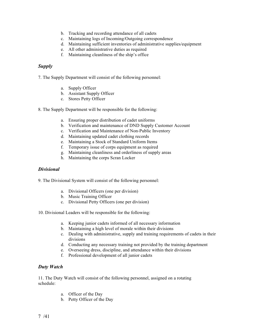- b. Tracking and recording attendance of all cadets
- c. Maintaining logs of Incoming/Outgoing correspondence
- d. Maintaining sufficient inventories of administrative supplies/equipment
- e. All other administrative duties as required
- f. Maintaining cleanliness of the ship's office

## *Supply*

7. The Supply Department will consist of the following personnel:

- a. Supply Officer
- b. Assistant Supply Officer
- c. Stores Petty Officer
- 8. The Supply Department will be responsible for the following:
	- a. Ensuring proper distribution of cadet uniforms
	- b. Verification and maintenance of DND Supply Customer Account
	- c. Verification and Maintenance of Non-Public Inventory
	- d. Maintaining updated cadet clothing records
	- e. Maintaining a Stock of Standard Uniform Items
	- f. Temporary issue of corps equipment as required
	- g. Maintaining cleanliness and orderliness of supply areas
	- h. Maintaining the corps Scran Locker

#### *Divisional*

- 9. The Divisional System will consist of the following personnel:
	- a. Divisional Officers (one per division)
	- b. Music Training Officer
	- c. Divisional Petty Officers (one per division)
- 10. Divisional Leaders will be responsible for the following:
	- a. Keeping junior cadets informed of all necessary information
	- b. Maintaining a high level of morale within their divisions
	- c. Dealing with administrative, supply and training requirements of cadets in their divisions
	- d. Conducting any necessary training not provided by the training department
	- e. Overseeing dress, discipline, and attendance within their divisions
	- f. Professional development of all junior cadets

#### *Duty Watch*

11. The Duty Watch will consist of the following personnel, assigned on a rotating schedule:

- a. Officer of the Day
- b. Petty Officer of the Day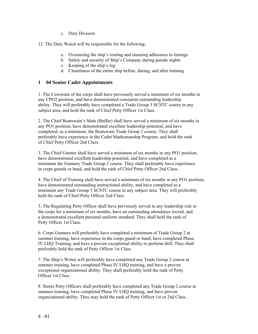c. Duty Division

12. The Duty Watch will be responsible for the following:

- a. Overseeing the ship's routing and ensuring adherence to timings
- b. Safety and security of Ship's Company during parade nights
- c. Keeping of the ship's log
- d. Cleanliness of the entire ship before, during, and after training

#### **1 04 Senior Cadet Appointments**

1. The Coxswain of the corps shall have previously served a minimum of six months in any CPO2 position, and have demonstrated consistent outstanding leadership ability. They will preferably have completed a Trade Group 3 SCSTC course in any subject area, and hold the rank of Chief Petty Officer 1st Class.

2. The Chief Boatswain's Mate (Buffer) shall have served a minimum of six months in any PO1 position, have demonstrated excellent leadership potential, and have completed, as a minimum, the Boatswain Trade Group 2 course. They shall preferably have experience in the Cadet Marksmanship Program, and hold the rank of Chief Petty Officer 2nd Class.

3. The Chief Gunner shall have served a minimum of six months in any PO1 position, have demonstrated excellent leadership potential, and have completed as a minimum the Gunnery Trade Group 2 course. They shall preferably have experience in corps guards or band, and hold the rank of Chief Petty Officer 2nd Class.

4. The Chief of Training shall have served a minimum of six months in any PO1 position, have demonstrated outstanding instructional ability, and have completed as a minimum any Trade Group 3 SCSTC course in any subject area. They will preferably hold the rank of Chief Petty Officer 2nd Class.

5. The Regulating Petty Officer shall have previously served in any leadership role in the corps for a minimum of six months, have an outstanding attendance record, and a demonstrated excellent personal uniform standard. They shall hold the rank of Petty Officer 1st Class.

6. Corps Gunners will preferably have completed a minimum of Trade Group 2 at summer training, have experience in the corps guard or band, have completed Phase IV LHQ Training, and have a proven exceptional ability to perform drill. They shall preferably hold the rank of Petty Officer 1st Class.

7. The Ship's Writer will preferably have completed any Trade Group 2 course at summer training, have completed Phase IV LHQ training, and have a proven exceptional organizational ability. They shall preferably hold the rank of Petty Officer 1st Class.

8. Stores Petty Officers shall preferably have completed any Trade Group 2 course at summer training, have completed Phase IV LHO training, and have proven organizational ability. They may hold the rank of Petty Officer 1st or 2nd Class.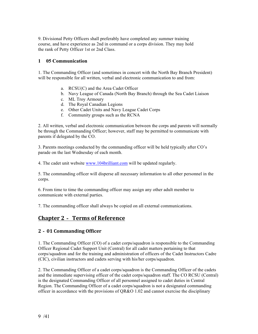9. Divisional Petty Officers shall preferably have completed any summer training course, and have experience as 2nd in command or a corps division. They may hold the rank of Petty Officer 1st or 2nd Class.

#### **1 05 Communication**

1. The Commanding Officer (and sometimes in concert with the North Bay Branch President) will be responsible for all written, verbal and electronic communication to and from:

- a. RCSU(C) and the Area Cadet Officer
- b. Navy League of Canada (North Bay Branch) through the Sea Cadet Liaison
- c. ML Troy Armoury
- d. The Royal Canadian Legions
- e. Other Cadet Units and Navy League Cadet Corps
- f. Community groups such as the RCNA

2. All written, verbal and electronic communication between the corps and parents will normally be through the Commanding Officer; however, staff may be permitted to communicate with parents if delegated by the CO.

3. Parents meetings conducted by the commanding officer will be held typically after CO's parade on the last Wednesday of each month.

4. The cadet unit website www.104brilliant.com will be updated regularly.

5. The commanding officer will disperse all necessary information to all other personnel in the corps.

6. From time to time the commanding officer may assign any other adult member to communicate with external parties.

7. The commanding officer shall always be copied on all external communications.

## **Chapter 2**‐ **Terms of Reference**

## **2**‐**01 Commanding Officer**

1. The Commanding Officer (CO) of a cadet corps/squadron is responsible to the Commanding Officer Regional Cadet Support Unit (Central) for all cadet matters pertaining to that corps/squadron and for the training and administration of officers of the Cadet Instructors Cadre (CIC), civilian instructors and cadets serving with his/her corps/squadron.

2. The Commanding Officer of a cadet corps/squadron is the Commanding Officer of the cadets and the immediate supervising officer of the cadet corps/squadron staff. The CO RCSU (Central) is the designated Commanding Officer of all personnel assigned to cadet duties in Central Region. The Commanding Officer of a cadet corps/squadron is not a designated commanding officer in accordance with the provisions of QR&O 1.02 and cannot exercise the disciplinary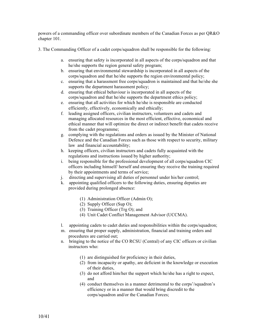powers of a commanding officer over subordinate members of the Canadian Forces as per QR&O chapter 101.

3. The Commanding Officer of a cadet corps/squadron shall be responsible for the following:

- a. ensuring that safety is incorporated in all aspects of the corps/squadron and that he/she supports the region general safety program;
- b. ensuring that environmental stewardship is incorporated in all aspects of the corps/squadron and that he/she supports the region environmental policy;
- c. ensuring that a harassment free corps/squadron is maintained and that he/she she supports the department harassment policy;
- d. ensuring that ethical behaviour is incorporated in all aspects of the corps/squadron and that he/she supports the department ethics policy;
- e. ensuring that all activities for which he/she is responsible are conducted efficiently, effectively, economically and ethically;
- f. leading assigned officers, civilian instructors, volunteers and cadets and managing allocated resources in the most efficient, effective, economical and ethical manner that will optimize the direct or indirect benefit that cadets receive from the cadet programme;
- g. complying with the regulations and orders as issued by the Minister of National Defence and the Canadian Forces such as those with respect to security, military law and financial accountability;
- h. keeping officers, civilian instructors and cadets fully acquainted with the regulations and instructions issued by higher authority;
- i. being responsible for the professional development of all corps/squadron CIC officers including himself/ herself and ensuring they receive the training required by their appointments and terms of service;
- j. directing and supervising all duties of personnel under his/her control;
- k. appointing qualified officers to the following duties, ensuring deputies are provided during prolonged absence:
	- (1) Administration Officer (Admin O);
	- (2) Supply Officer (Sup O);
	- (3) Training Officer (Trg O); and
	- (4) Unit Cadet Conflict Management Advisor (UCCMA).
- l. appointing cadets to cadet duties and responsibilities within the corps/squadron;
- m. ensuring that proper supply, administration, financial and training orders and procedures are carried out;
- n. bringing to the notice of the CO RCSU (Central) of any CIC officers or civilian instructors who:
	- (1) are distinguished for proficiency in their duties,
	- (2) from incapacity or apathy, are deficient in the knowledge or execution of their duties,
	- (3) do not afford him/her the support which he/she has a right to expect, and
	- (4) conduct themselves in a manner detrimental to the corps'/squadron's efficiency or in a manner that would bring discredit to the corps/squadron and/or the Canadian Forces;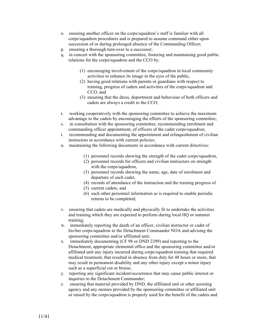- o. ensuring another officer on the corps/squadron's staff is familiar with all corps/squadron procedures and is prepared to assume command either upon succession of or during prolonged absence of the Commanding Officer;
- p. ensuring a thorough turn-over to a successor;
- q. in concert with the sponsoring committee, fostering and maintaining good public relations for the corps/squadron and the CCO by:
	- (1) encouraging involvement of the corps/squadron in local community activities to enhance its image in the eyes of the public,
	- (2) having good relations with parents or guardians with respect to training, progress of cadets and activities of the corps/squadron and CCO, and
	- (3) ensuring that the dress, deportment and behaviour of both officers and cadets are always a credit to the CCO;
- r. working cooperatively with the sponsoring committee to achieve the maximum advantage to the cadets by encouraging the efforts of the sponsoring committee;
- s. in consultation with the sponsoring committee, recommending enrolment and commanding officer appointment, of officers of the cadet corps/squadron;
- t. recommending and documenting the appointment and relinquishment of civilian instructors in accordance with current policies;
- u. maintaining the following documents in accordance with current directives:
	- (1) personnel records showing the strength of the cadet corps/squadron,
	- (2) personnel records for officers and civilian instructors on strength with the corps/squadron,
	- (3) personnel records showing the name, age, date of enrolment and departure of each cadet,
	- (4) records of attendance of the instruction and the training progress of
	- (5) current cadets, and
	- (6) such other personnel information as is required to enable periodic returns to be completed;
- v. ensuring that cadets are medically and physically fit to undertake the activities and training which they are expected to perform during local HQ or summer training;
- w. immediately reporting the death of an officer, civilian instructor or cadet of his/her corps/squadron to the Detachment Commander NOA and advising the sponsoring committee and/or affiliated unit;
- x. immediately documenting (CF 98 or DND 2299) and reporting to the Detachment, appropriate elemental office and the sponsoring committee and/or affiliated unit any injury incurred during corps/squadron training that required medical treatment, that resulted in absence from duty for 48 hours or more, that may result in permanent disability and any other injury except a minor injury such as a superficial cut or bruise;
- y. reporting any significant incident/occurrence that may cause public interest or inquiries to the Detachment Commander;
- z. ensuring that material provided by DND, the affiliated unit or other assisting agency and any monies provided by the sponsoring committee or affiliated unit or raised by the corps/squadron is properly used for the benefit of the cadets and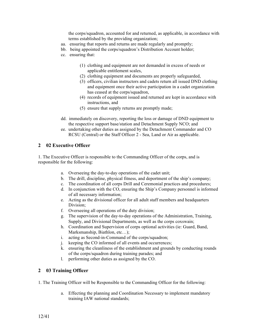the corps/squadron, accounted for and returned, as applicable, in accordance with terms established by the providing organization;

- aa. ensuring that reports and returns are made regularly and promptly;
- bb. being appointed the corps/squadron's Distribution Account holder;
- cc. ensuring that:
	- (1) clothing and equipment are not demanded in excess of needs or applicable entitlement scales,
	- (2) clothing equipment and documents are properly safeguarded,
	- (3) officers, civilian instructors and cadets return all issued DND clothing and equipment once their active participation in a cadet organization has ceased at the corps/squadron,
	- (4) records of equipment issued and returned are kept in accordance with instructions, and
	- (5) ensure that supply returns are promptly made;
- dd. immediately on discovery, reporting the loss or damage of DND equipment to the respective support base/station and Detachment Supply NCO; and
- ee. undertaking other duties as assigned by the Detachment Commander and CO RCSU (Central) or the Staff Officer 2 - Sea, Land or Air as applicable.

#### **2 02 Executive Officer**

1. The Executive Officer is responsible to the Commanding Officer of the corps, and is responsible for the following:

- a. Overseeing the day-to-day operations of the cadet unit;
- b. The drill, discipline, physical fitness, and deportment of the ship's company;
- c. The coordination of all corps Drill and Ceremonial practices and procedures;
- d. In conjunction with the CO, ensuring the Ship's Company personnel is informed of all necessary information;
- e. Acting as the divisional officer for all adult staff members and headquarters Division<sup>.</sup>
- f. Overseeing all operations of the duty division;
- g. The supervision of the day-to-day operations of the Administration, Training, Supply, and Divisional Departments, as well as the corps coxswain;
- h. Coordination and Supervision of corps optional activities (ie: Guard, Band, Marksmanship, Biathlon, etc…);
- i. acting as Second-in-Command of the corps/squadron;
- j. keeping the CO informed of all events and occurrences;
- k. ensuring the cleanliness of the establishment and grounds by conducting rounds of the corps/squadron during training parades; and
- l. performing other duties as assigned by the CO.

#### **2 03 Training Officer**

- 1. The Training Officer will be Responsible to the Commanding Officer for the following:
	- a. Effecting the planning and Coordination Necessary to implement mandatory training IAW national standards;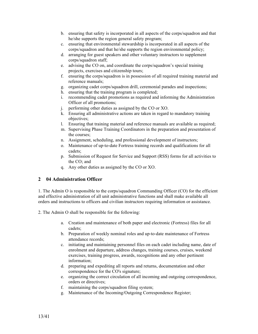- b. ensuring that safety is incorporated in all aspects of the corps/squadron and that he/she supports the region general safety program;
- c. ensuring that environmental stewardship is incorporated in all aspects of the corps/squadron and that he/she supports the region environmental policy;
- d. arranging for guest speakers and other voluntary instructors to supplement corps/squadron staff;
- e. advising the CO on, and coordinate the corps/squadron's special training projects, exercises and citizenship tours;
- f. ensuring the corps/squadron is in possession of all required training material and reference manuals;
- g. organizing cadet corps/squadron drill, ceremonial parades and inspections;
- h. ensuring that the training program is completed;
- i. recommending cadet promotions as required and informing the Administration Officer of all promotions;
- j. performing other duties as assigned by the CO or XO.
- k. Ensuring all administrative actions are taken in regard to mandatory training objectives;
- l. Ensuring that training material and reference manuals are available as required;
- m. Supervising Phase Training Coordinators in the preparation and presentation of the courses;
- n. Assignment, scheduling, and professional development of instructors;
- o. Maintenance of up-to-date Fortress training records and qualifications for all cadets;
- p. Submission of Request for Service and Support (RSS) forms for all activities to the CO; and
- q. Any other duties as assigned by the CO or XO.

#### **2 04 Administration Officer**

1. The Admin O is responsible to the corps/squadron Commanding Officer (CO) for the efficient and effective administration of all unit administrative functions and shall make available all orders and instructions to officers and civilian instructors requiring information or assistance.

2. The Admin O shall be responsible for the following:

- a. Creation and maintenance of both paper and electronic (Fortress) files for all cadets;
- b. Preparation of weekly nominal roles and up-to-date maintenance of Fortress attendance records;
- c. initiating and maintaining personnel files on each cadet including name, date of enrolment and departure, address changes, training courses, cruises, weekend exercises, training progress, awards, recognitions and any other pertinent information;
- d. preparing and expediting all reports and returns, documentation and other correspondence for the CO's signature;
- e. organizing the correct circulation of all incoming and outgoing correspondence, orders or directives;
- f. maintaining the corps/squadron filing system;
- g. Maintenance of the Incoming/Outgoing Correspondence Register;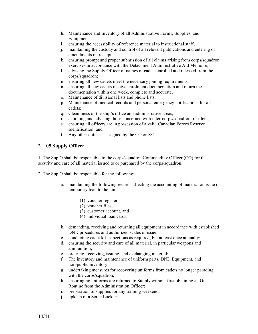- h. Maintenance and Inventory of all Administrative Forms, Supplies, and Equipment.
- i. ensuring the accessibility of reference material to instructional staff;
- j. maintaining the custody and control of all relevant publications and entering of amendments on receipt;
- k. ensuring prompt and proper submission of all claims arising from corps/squadron exercises in accordance with the Detachment Administrative Aid Memoire;
- l. advising the Supply Officer of names of cadets enrolled and released from the corps/squadron;
- m. ensuring all new cadets meet the necessary joining requirements;
- n. ensuring all new cadets receive enrolment documentation and return the documentation within one week, complete and accurate;
- o. Maintenance of divisional lists and phone lists;
- p. Maintenance of medical records and personal emergency notifications for all cadets;
- q. Cleanliness of the ship's office and administrative areas;
- r. actioning and advising those concerned with inter-corps/squadron transfers;
- s. ensuring all officers are in possession of a valid Canadian Forces Reserve Identification; and
- t. Any other duties as assigned by the CO or XO.

## **2 05 Supply Officer**

1. The Sup O shall be responsible to the corps/squadron Commanding Officer (CO) for the security and care of all material issued to or purchased by the corps/squadron.

2. The Sup O shall be responsible for the following:

- a. maintaining the following records affecting the accounting of material on issue or temporary loan to the unit:
	- (1) voucher register,
	- (2) voucher files,
	- (3) customer account, and
	- (4) individual loan cards;
- b. demanding, receiving and returning all equipment in accordance with established DND procedures and authorized scales of issue;
- c. conducting cadet kit inspections as required, but at least once annually;
- d. ensuring the security and care of all material, in particular weapons and ammunition;
- e. ordering, receiving, issuing, and exchanging material;
- f. The inventory and maintenance of uniform parts, DND Equipment, and non-public inventory;
- g. undertaking measures for recovering uniforms from cadets no longer parading with the corps/squadron;
- h. ensuring no uniforms are returned to Supply without first obtaining an Out Routine from the Administration Officer;
- i. preparation of supplies for any training weekend;
- j. upkeep of a Scran Locker;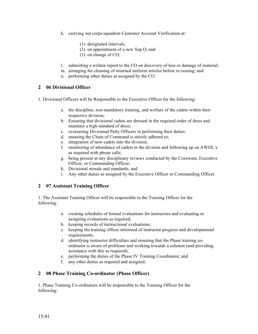- k. carrying out corps/squadron Customer Account Verification at:
	- (1) designated intervals,
	- (2) on appointment of a new Sup O, and
	- (3) on change of CO;
- l. submitting a written report to the CO on discovery of loss or damage of material;
- m. arranging for cleaning of returned uniform articles before re-issuing; and
- n. performing other duties as assigned by the CO.

## **2 06 Divisional Officer**

1. Divisional Officers will be Responsible to the Executive Officer for the following:

- a. the discipline, non-mandatory training, and welfare of the cadets within their respective division;
- b. Ensuring that divisional cadets are dressed in the required order of dress and maintain a high standard of dress;
- c. overseeing Divisional Petty Officers in performing their duties;
- d. ensuring the Chain of Command is strictly adhered to;
- e. integration of new cadets into the division;
- f. monitoring of attendance of cadets in the division and following up on AWOL's as required with phone calls;
- g. being present at any disciplinary reviews conducted by the Coxswain, Executive Officer, or Commanding Officer;
- h. Divisional morale and standards; and
- i. Any other duties as assigned by the Executive Officer or Commanding Officer.

## **2 07 Assistant Training Officer**

1. The Assistant Training Officer will be responsible to the Training Officer for the following:

- a. creating schedules of formal evaluations for instructors and evaluating or assigning evaluations as required;
- b. keeping records of instructional evaluations;
- c. keeping the training officer informed of instructor progress and developmental requirements;
- d. identifying instructor difficulties and ensuring that the Phase training coordinator is aware of problems and working towards a solution (and providing assistance with this as required);
- e. performing the duties of the Phase IV Training Coordinator; and
- f. any other duties as required and assigned.

## **2 08 Phase Training Co-ordinator (Phase Officer)**

1. Phase Training Co-ordinators will be responsible to the Training Officer for the following: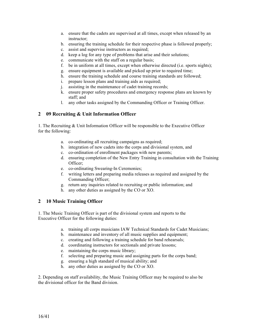- a. ensure that the cadets are supervised at all times, except when released by an instructor;
- b. ensuring the training schedule for their respective phase is followed properly;
- c. assist and supervise instructors as required;
- d. keep a log for any type of problems that arise and their solutions;
- e. communicate with the staff on a regular basis;
- f. be in uniform at all times, except when otherwise directed (i.e. sports nights);
- g. ensure equipment is available and picked up prior to required time;
- h. ensure the training schedule and course training standards are followed;
- i. prepare lesson plans and training aids as required;
- j. assisting in the maintenance of cadet training records;
- k. ensure proper safety procedures and emergency response plans are known by staff; and
- l. any other tasks assigned by the Commanding Officer or Training Officer.

## **2 09 Recruiting & Unit Information Officer**

1. The Recruiting & Unit Information Officer will be responsible to the Executive Officer for the following:

- a. co-ordinating all recruiting campaigns as required;
- b. integration of new cadets into the corps and divisional system, and
- c. co-ordination of enrollment packages with new parents;
- d. ensuring completion of the New Entry Training in consultation with the Training Officer;
- e. co-ordinating Swearing-In Ceremonies;
- f. writing letters and preparing media releases as required and assigned by the Commanding Officer;
- g. return any inquiries related to recruiting or public information; and
- h. any other duties as assigned by the CO or XO.

## **2 10 Music Training Officer**

1. The Music Training Officer is part of the divisional system and reports to the Executive Officer for the following duties:

- a. training all corps musicians IAW Technical Standards for Cadet Musicians;
- b. maintenance and inventory of all music supplies and equipment;
- c. creating and following a training schedule for band rehearsals;
- d. coordinating instructors for sectionals and private lessons;
- e. maintaining the corps music library;
- f. selecting and preparing music and assigning parts for the corps band;
- g. ensuring a high standard of musical ability; and
- h. any other duties as assigned by the CO or XO.

2. Depending on staff availability, the Music Training Officer may be required to also be the divisional officer for the Band division.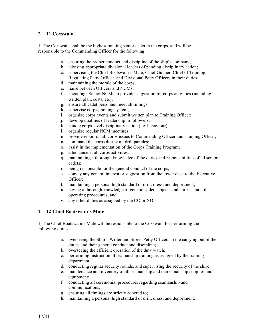## **2 11 Coxswain**

1. The Coxswain shall be the highest ranking senior cadet in the corps, and will be responsible to the Commanding Officer for the following:

- a. ensuring the proper conduct and discipline of the ship's company;
- b. advising appropriate divisional leaders of pending disciplinary action;
- c. supervising the Chief Boatswain's Mate, Chief Gunner, Chief of Training, Regulating Petty Officer, and Divisional Petty Officers in their duties;
- d. maintaining the morale of the corps;
- e. liaise between Officers and NCMs;
- f. encourage Senior NCMs to provide suggestion for corps activities (including written plan, costs, etc);
- g. ensure all cadet personnel meet all timings;
- h. supervise corps phoning system;
- i. organize corps events and submit written plan to Training Officer;
- j. develop qualities of leadership in followers;
- k. handle corps level disciplinary action (i.e. behaviour);
- l. organize regular NCM meetings;
- m. provide report on all corps issues to Commanding Officer and Training Officer;
- n. command the corps during all drill parades;
- o. assist in the implementation of the Corps Training Program;
- p. attendance at all corps activities;
- q. maintaining a thorough knowledge of the duties and responsibilities of all senior cadets;
- r. being responsible for the general conduct of the corps;
- s. convey any general interest or suggestion from the lower deck to the Executive Officer;
- t. maintaining a personal high standard of drill, dress, and deportment;
- u. having a thorough knowledge of general cadet subjects and corps standard operating procedures; and
- v. any other duties as assigned by the CO or XO.

## **2 12 Chief Boatswain's Mate**

1. The Chief Boatswain's Mate will be responsible to the Coxswain for performing the following duties:

- a. overseeing the Ship's Writer and Stores Petty Officers in the carrying out of their duties and their general conduct and discipline;
- b. overseeing the efficient operation of the duty watch;
- c. performing instruction of seamanship training as assigned by the training department;
- d. conducting regular security rounds, and supervising the security of the ship;
- e. maintenance and inventory of all seamanship and marksmanship supplies and equipment;
- f. conducting all ceremonial procedures regarding seamanship and communications;
- g. ensuring all timings are strictly adhered to;
- h. maintaining a personal high standard of drill, dress, and deportment;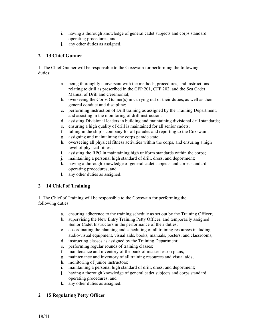- i. having a thorough knowledge of general cadet subjects and corps standard operating procedures; and
- j. any other duties as assigned.

## **2 13 Chief Gunner**

1. The Chief Gunner will be responsible to the Coxswain for performing the following duties:

- a. being thoroughly conversant with the methods, procedures, and instructions relating to drill as prescribed in the CFP 201, CFP 202, and the Sea Cadet Manual of Drill and Ceremonial;
- b. overseeing the Corps Gunner(s) in carrying out of their duties, as well as their general conduct and discipline;
- c. performing instruction of Drill training as assigned by the Training Department, and assisting in the monitoring of drill instruction;
- d. assisting Divisional leaders in building and maintaining divisional drill standards;
- e. ensuring a high quality of drill is maintained for all senior cadets;
- f. falling in the ship's company for all parades and reporting to the Coxswain;
- g. assigning and maintaining the corps parade state;
- h. overseeing all physical fitness activities within the corps, and ensuring a high level of physical fitness;
- i. assisting the RPO in maintaining high uniform standards within the corps;
- j. maintaining a personal high standard of drill, dress, and deportment;
- k. having a thorough knowledge of general cadet subjects and corps standard operating procedures; and
- l. any other duties as assigned.

## **2 14 Chief of Training**

1. The Chief of Training will be responsible to the Coxswain for performing the following duties:

- a. ensuring adherence to the training schedule as set out by the Training Officer;
- b. supervising the New Entry Training Petty Officer, and temporarily assigned Senior Cadet Instructors in the performance of their duties;
- c. co-ordinating the planning and scheduling of all training resources including audio-visual equipment, visual aids, books, manuals, posters, and classrooms;
- d. instructing classes as assigned by the Training Department;
- e. performing regular rounds of training classes;
- f. maintenance and inventory of the bank of master lesson plans;
- g. maintenance and inventory of all training resources and visual aids;
- h. monitoring of junior instructors;
- i. maintaining a personal high standard of drill, dress, and deportment;
- j. having a thorough knowledge of general cadet subjects and corps standard operating procedures; and
- k. any other duties as assigned.

## **2 15 Regulating Petty Officer**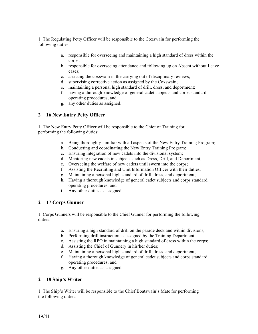1. The Regulating Petty Officer will be responsible to the Coxswain for performing the following duties:

- a. responsible for overseeing and maintaining a high standard of dress within the corps;
- b. responsible for overseeing attendance and following up on Absent without Leave cases;
- c. assisting the coxswain in the carrying out of disciplinary reviews;
- d. supervising corrective action as assigned by the Coxswain;
- e. maintaining a personal high standard of drill, dress, and deportment;
- f. having a thorough knowledge of general cadet subjects and corps standard operating procedures; and
- g. any other duties as assigned.

## **2 16 New Entry Petty Officer**

1. The New Entry Petty Officer will be responsible to the Chief of Training for performing the following duties:

- a. Being thoroughly familiar with all aspects of the New Entry Training Program;
- b. Conducting and coordinating the New Entry Training Program;
- c. Ensuring integration of new cadets into the divisional system;
- d. Mentoring new cadets in subjects such as Dress, Drill, and Deportment;
- e. Overseeing the welfare of new cadets until sworn into the corps;
- f. Assisting the Recruiting and Unit Information Officer with their duties;
- g. Maintaining a personal high standard of drill, dress, and deportment;
- h. Having a thorough knowledge of general cadet subjects and corps standard operating procedures; and
- i. Any other duties as assigned.

#### **2 17 Corps Gunner**

1. Corps Gunners will be responsible to the Chief Gunner for performing the following duties:

- a. Ensuring a high standard of drill on the parade deck and within divisions;
- b. Performing drill instruction as assigned by the Training Department;
- c. Assisting the RPO in maintaining a high standard of dress within the corps;
- d. Assisting the Chief of Gunnery in his/her duties;
- e. Maintaining a personal high standard of drill, dress, and deportment;
- f. Having a thorough knowledge of general cadet subjects and corps standard operating procedures; and
- g. Any other duties as assigned.

#### **2 18 Ship's Writer**

1. The Ship's Writer will be responsible to the Chief Boatswain's Mate for performing the following duties: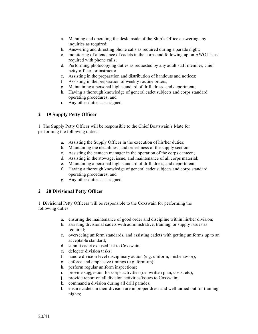- a. Manning and operating the desk inside of the Ship's Office answering any inquiries as required;
- b. Answering and directing phone calls as required during a parade night;
- c. monitoring of attendance of cadets in the corps and following up on AWOL's as required with phone calls;
- d. Performing photocopying duties as requested by any adult staff member, chief petty officer, or instructor;
- e. Assisting in the preparation and distribution of handouts and notices;
- f. Assisting in the preparation of weekly routine orders;
- g. Maintaining a personal high standard of drill, dress, and deportment;
- h. Having a thorough knowledge of general cadet subjects and corps standard operating procedures; and
- i. Any other duties as assigned.

## **2 19 Supply Petty Officer**

1. The Supply Petty Officer will be responsible to the Chief Boatswain's Mate for performing the following duties:

- a. Assisting the Supply Officer in the execution of his/her duties;
- b. Maintaining the cleanliness and orderliness of the supply section;
- c. Assisting the canteen manager in the operation of the corps canteen;
- d. Assisting in the stowage, issue, and maintenance of all corps material;
- e. Maintaining a personal high standard of drill, dress, and deportment;
- f. Having a thorough knowledge of general cadet subjects and corps standard operating procedures; and
- g. Any other duties as assigned.

## **2 20 Divisional Petty Officer**

1. Divisional Petty Officers will be responsible to the Coxswain for performing the following duties:

- a. ensuring the maintenance of good order and discipline within his/her division;
- b. assisting divisional cadets with administrative, training, or supply issues as required;
- c. overseeing uniform standards, and assisting cadets with getting uniforms up to an acceptable standard;
- d. submit cadet excused list to Coxswain;
- e. delegate division tasks;
- f. handle division level disciplinary action (e.g. uniform, misbehavior);
- g. enforce and emphasize timings (e.g. form-up);
- h. perform regular uniform inspections;
- i. provide suggestion for corps activities (i.e. written plan, costs, etc);
- j. provide report on all division activities/issues to Coxswain;
- k. command a division during all drill parades;
- l. ensure cadets in their division are in proper dress and well turned out for training nights;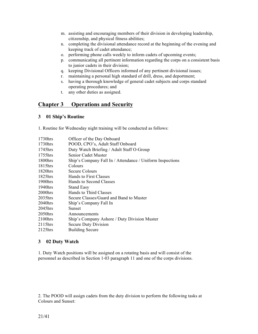- m. assisting and encouraging members of their division in developing leadership, citizenship, and physical fitness abilities;
- n. completing the divisional attendance record at the beginning of the evening and keeping track of cadet attendance;
- o. performing phone calls weekly to inform cadets of upcoming events;
- p. communicating all pertinent information regarding the corps on a consistent basis to junior cadets in their division;
- q. keeping Divisional Officers informed of any pertinent divisional issues;
- r. maintaining a personal high standard of drill, dress, and deportment;
- s. having a thorough knowledge of general cadet subjects and corps standard operating procedures; and
- t. any other duties as assigned.

## **Chapter 3 Operations and Security**

#### **3 01 Ship's Routine**

1. Routine for Wednesday night training will be conducted as follows:

| 1730hrs    | Officer of the Day Onboard                                |
|------------|-----------------------------------------------------------|
| $1730$ hrs | POOD, CPO's, Adult Staff Onboard                          |
| 1745hrs    | Duty Watch Briefing / Adult Staff O-Group                 |
| 1755hrs    | Senior Cadet Muster                                       |
| $1800$ hrs | Ship's Company Fall In / Attendance / Uniform Inspections |
| $1815$ hrs | Colours                                                   |
| $1820$ hrs | <b>Secure Colours</b>                                     |
| $1825$ hrs | Hands to First Classes                                    |
| $1900$ hrs | Hands to Second Classes                                   |
| 1940hrs    | <b>Stand Easy</b>                                         |
| $2000$ hrs | Hands to Third Classes                                    |
| 2035hrs    | Secure Classes/Guard and Band to Muster                   |
| $2040$ hrs | Ship's Company Fall In                                    |
| $2045$ hrs | Sunset                                                    |
| $2050$ hrs | Announcements                                             |
| $2100$ hrs | Ship's Company Ashore / Duty Division Muster              |
| 2115hrs    | Secure Duty Division                                      |
| 2125hrs    | <b>Building Secure</b>                                    |

#### **3 02 Duty Watch**

1. Duty Watch positions will be assigned on a rotating basis and will consist of the personnel as described in Section 1-03 paragraph 11 and one of the corps divisions.

2. The POOD will assign cadets from the duty division to perform the following tasks at Colours and Sunset: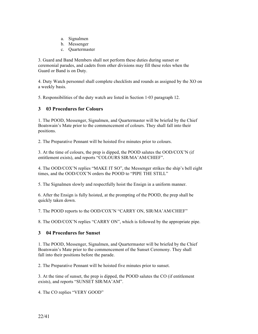- a. Signalmen
- b. Messenger
- c. Quartermaster

3. Guard and Band Members shall not perform these duties during sunset or ceremonial parades, and cadets from other divisions may fill these roles when the Guard or Band is on Duty.

4. Duty Watch personnel shall complete checklists and rounds as assigned by the XO on a weekly basis.

5. Responsibilities of the duty watch are listed in Section 1-03 paragraph 12.

#### **3 03 Procedures for Colours**

1. The POOD, Messenger, Signalmen, and Quartermaster will be briefed by the Chief Boatswain's Mate prior to the commencement of colours. They shall fall into their positions.

2. The Preparative Pennant will be hoisted five minutes prior to colours.

3. At the time of colours, the prep is dipped, the POOD salutes the OOD/COX'N (if entitlement exists), and reports "COLOURS SIR/MA'AM/CHIEF".

4. The OOD/COX'N replies "MAKE IT SO", the Messenger strikes the ship's bell eight times, and the OOD/COX'N orders the POOD to "PIPE THE STILL"

5. The Signalmen slowly and respectfully hoist the Ensign in a uniform manner.

6. After the Ensign is fully hoisted, at the prompting of the POOD, the prep shall be quickly taken down.

7. The POOD reports to the OOD/COX'N "CARRY ON, SIR/MA'AM/CHIEF"

8. The OOD/COX'N replies "CARRY ON", which is followed by the appropriate pipe.

#### **3 04 Procedures for Sunset**

1. The POOD, Messenger, Signalmen, and Quartermaster will be briefed by the Chief Boatswain's Mate prior to the commencement of the Sunset Ceremony. They shall fall into their positions before the parade.

2. The Preparative Pennant will be hoisted five minutes prior to sunset.

3. At the time of sunset, the prep is dipped, the POOD salutes the CO (if entitlement exists), and reports "SUNSET SIR/MA'AM".

4. The CO replies "VERY GOOD"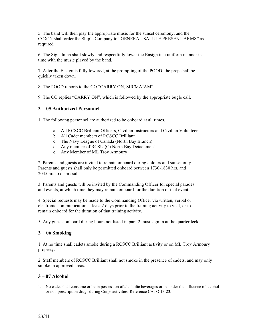5. The band will then play the appropriate music for the sunset ceremony, and the COX'N shall order the Ship's Company to "GENERAL SALUTE PRESENT ARMS" as required.

6. The Signalmen shall slowly and respectfully lower the Ensign in a uniform manner in time with the music played by the band.

7. After the Ensign is fully lowered, at the prompting of the POOD, the prep shall be quickly taken down.

8. The POOD reports to the CO "CARRY ON, SIR/MA'AM"

9. The CO replies "CARRY ON", which is followed by the appropriate bugle call.

#### **3 05 Authorized Personnel**

1. The following personnel are authorized to be onboard at all times.

- a. All RCSCC Brilliant Officers, Civilian Instructors and Civilian Volunteers
- b. All Cadet members of RCSCC Brilliant
- c. The Navy League of Canada (North Bay Branch)
- d. Any member of RCSU (C) North Bay Detachment
- e. Any Member of ML Troy Armoury

2. Parents and guests are invited to remain onboard during colours and sunset only. Parents and guests shall only be permitted onboard between 1730-1830 hrs, and 2045 hrs to dismissal.

3. Parents and guests will be invited by the Commanding Officer for special parades and events, at which time they may remain onboard for the duration of that event.

4. Special requests may be made to the Commanding Officer via written, verbal or electronic communication at least 2 days prior to the training activity to visit, or to remain onboard for the duration of that training activity.

5. Any guests onboard during hours not listed in para 2 must sign in at the quarterdeck.

#### **3 06 Smoking**

1. At no time shall cadets smoke during a RCSCC Brilliant activity or on ML Troy Armoury property.

2. Staff members of RCSCC Brilliant shall not smoke in the presence of cadets, and may only smoke in approved areas.

#### **3 – 07 Alcohol**

1. No cadet shall consume or be in possession of alcoholic beverages or be under the influence of alcohol or non prescription drugs during Corps activities. Reference CATO 13-23.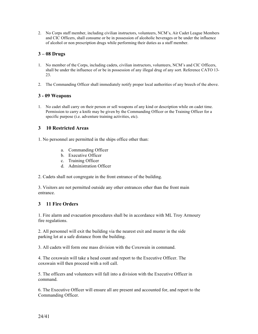2. No Corps staff member, including civilian instructors, volunteers, NCM's, Air Cadet League Members and CIC Officers, shall consume or be in possession of alcoholic beverages or be under the influence of alcohol or non prescription drugs while performing their duties as a staff member.

## **3 – 08 Drugs**

- 1. No member of the Corps, including cadets, civilian instructors, volunteers, NCM's and CIC Officers, shall be under the influence of or be in possession of any illegal drug of any sort. Reference CATO 13- 23.
- 2. The Commanding Officer shall immediately notify proper local authorities of any breech of the above.

#### **3 - 09 Weapons**

1. No cadet shall carry on their person or sell weapons of any kind or description while on cadet time. Permission to carry a knife may be given by the Commanding Officer or the Training Officer for a specific purpose (i.e. adventure training activities, etc).

#### **3 10 Restricted Areas**

1. No personnel are permitted in the ships office other than:

- a. Commanding Officer
- b. Executive Officer
- c. Training Officer
- d. Administration Officer

2. Cadets shall not congregate in the front entrance of the building.

3. Visitors are not permitted outside any other entrances other than the front main entrance.

## **3 11 Fire Orders**

1. Fire alarm and evacuation procedures shall be in accordance with ML Troy Armoury fire regulations.

2. All personnel will exit the building via the nearest exit and muster in the side parking lot at a safe distance from the building.

3. All cadets will form one mass division with the Coxswain in command.

4. The coxswain will take a head count and report to the Executive Officer. The coxswain will then proceed with a roll call.

5. The officers and volunteers will fall into a division with the Executive Officer in command.

6. The Executive Officer will ensure all are present and accounted for, and report to the Commanding Officer.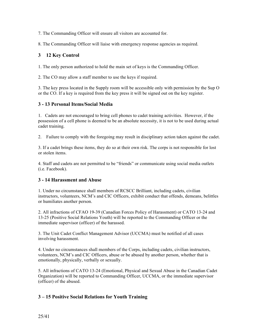7. The Commanding Officer will ensure all visitors are accounted for.

8. The Commanding Officer will liaise with emergency response agencies as required.

## **3 12 Key Control**

1. The only person authorized to hold the main set of keys is the Commanding Officer.

2. The CO may allow a staff member to use the keys if required.

3. The key press located in the Supply room will be accessible only with permission by the Sup O or the CO. If a key is required from the key press it will be signed out on the key register.

#### **3 - 13 Personal Items/Social Media**

1. Cadets are not encouraged to bring cell phones to cadet training activities. However, if the possession of a cell phone is deemed to be an absolute necessity, it is not to be used during actual cadet training.

2. Failure to comply with the foregoing may result in disciplinary action taken against the cadet.

3. If a cadet brings these items, they do so at their own risk. The corps is not responsible for lost or stolen items.

4. Staff and cadets are not permitted to be "friends" or communicate using social media outlets (i.e. Facebook).

#### **3 - 14 Harassment and Abuse**

1. Under no circumstance shall members of RCSCC Brilliant, including cadets, civilian instructors, volunteers, NCM's and CIC Officers, exhibit conduct that offends, demeans, belittles or humiliates another person.

2. All infractions of CFAO 19-39 (Canadian Forces Policy of Harassment) or CATO 13-24 and 13-25 (Positive Social Relations Youth) will be reported to the Commanding Officer or the immediate supervisor (officer) of the harassed.

3. The Unit Cadet Conflict Management Advisor (UCCMA) must be notified of all cases involving harassment.

4. Under no circumstances shall members of the Corps, including cadets, civilian instructors, volunteers, NCM's and CIC Officers, abuse or be abused by another person, whether that is emotionally, physically, verbally or sexually.

5. All infractions of CATO 13-24 (Emotional, Physical and Sexual Abuse in the Canadian Cadet Organization) will be reported to Commanding Officer, UCCMA, or the immediate supervisor (officer) of the abused.

## **3 – 15 Positive Social Relations for Youth Training**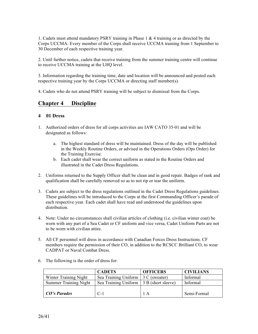1. Cadets must attend mandatory PSRY training in Phase 1 & 4 training or as directed by the Corps UCCMA. Every member of the Corps shall receive UCCMA training from 1 September to 30 December of each respective training year.

2. Until further notice, cadets that receive training from the summer training centre will continue to receive UCCMA training at the LHQ level.

3. Information regarding the training time, date and location will be announced and posted each respective training year by the Corps UCCMA or directing staff member(s).

4. Cadets who do not attend PSRY training will be subject to dismissal from the Corps.

## **Chapter 4 Discipline**

#### **4 01 Dress**

- 1. Authorized orders of dress for all corps activities are IAW CATO 35-01 and will be designated as follows:
	- a. The highest standard of dress will be maintained. Dress of the day will be published in the Weekly Routine Orders, or advised in the Operations Orders (Ops Order) for the Training Exercise.
	- b. Each cadet shall wear the correct uniform as stated in the Routine Orders and illustrated in the Cadet Dress Regulations.
- 2. Uniforms returned to the Supply Officer shall be clean and in good repair. Badges of rank and qualification shall be carefully removed so as to not rip or tear the uniform.
- 3. Cadets are subject to the dress regulations outlined in the Cadet Dress Regulations guidelines. These guidelines will be introduced to the Corps at the first Commanding Officer's parade of each respective year. Each cadet shall have read and understood the guidelines upon distribution.
- 4. Note: Under no circumstances shall civilian articles of clothing (i.e. civilian winter coat) be worn with any part of a Sea Cadet or CF uniform and vice versa, Cadet Uniform Parts are not to be worn with civilian attire.
- 5. All CF personnel will dress in accordance with Canadian Forces Dress Instructions. CF members require the permission of their CO, in addition to the RCSCC Brilliant CO, to wear CADPAT or Naval Combat Dress.
- 6. The following is the order of dress for:

|                              | <b>CADETS</b>                           | <b>OFFICERS</b>       | <b>CIVILIANS</b> |
|------------------------------|-----------------------------------------|-----------------------|------------------|
| Winter Training Night        | Sea Training Uniform                    | $\vert$ 3 C (sweater) | Informal         |
| <b>Summer Training Night</b> | Sea Training Uniform 3 B (short sleeve) |                       | Informal         |
|                              |                                         |                       |                  |
| $\mid CO's$ Parades          | $C-1$                                   | 1 A                   | Semi-Formal      |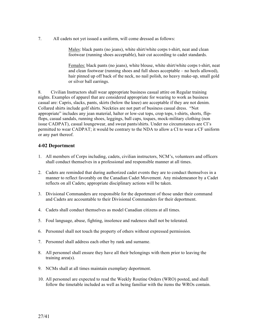7. All cadets not yet issued a uniform, will come dressed as follows:

Males: black pants (no jeans), white shirt/white corps t-shirt, neat and clean footwear (running shoes acceptable), hair cut according to cadet standards.

Females: black pants (no jeans), white blouse, white shirt/white corps t-shirt, neat and clean footwear (running shoes and full shoes acceptable – no heels allowed), hair pinned up off back of the neck, no nail polish, no heavy make-up, small gold or silver ball earrings.

8. Civilian Instructors shall wear appropriate business casual attire on Regular training nights. Examples of apparel that are considered appropriate for wearing to work as business casual are: Capris, slacks, pants, skirts (below the knee) are acceptable if they are not denim. Collared shirts include golf shirts. Neckties are not part of business casual dress. "Not appropriate" includes any jean material, halter or low-cut tops, crop tops, t-shirts, shorts, flipflops, casual sandals, running shoes, leggings, ball caps, toques, mock-military clothing (non issue CADPAT), casual loungewear, and sweat pants/shirts. Under no circumstances are CI's permitted to wear CADPAT; it would be contrary to the NDA to allow a CI to wear a CF uniform or any part thereof.

#### **4-02 Deportment**

- 1. All members of Corps including, cadets, civilian instructors, NCM's, volunteers and officers shall conduct themselves in a professional and responsible manner at all times.
- 2. Cadets are reminded that during authorized cadet events they are to conduct themselves in a manner to reflect favorably on the Canadian Cadet Movement. Any misdemeanor by a Cadet reflects on all Cadets; appropriate disciplinary actions will be taken.
- 3. Divisional Commanders are responsible for the deportment of those under their command and Cadets are accountable to their Divisional Commanders for their deportment.
- 4. Cadets shall conduct themselves as model Canadian citizens at all times.
- 5. Foul language, abuse, fighting, insolence and rudeness shall not be tolerated.
- 6. Personnel shall not touch the property of others without expressed permission.
- 7. Personnel shall address each other by rank and surname.
- 8. All personnel shall ensure they have all their belongings with them prior to leaving the training area(s).
- 9. NCMs shall at all times maintain exemplary deportment.
- 10. All personnel are expected to read the Weekly Routine Orders (WRO) posted, and shall follow the timetable included as well as being familiar with the items the WROs contain.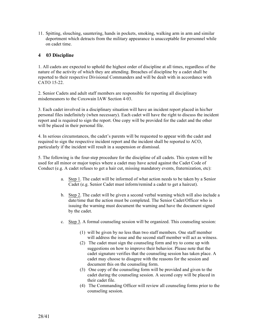11. Spitting, slouching, sauntering, hands in pockets, smoking, walking arm in arm and similar deportment which detracts from the military appearance is unacceptable for personnel while on cadet time.

## **4 03 Discipline**

1. All cadets are expected to uphold the highest order of discipline at all times, regardless of the nature of the activity of which they are attending. Breaches of discipline by a cadet shall be reported to their respective Divisional Commanders and will be dealt with in accordance with CATO 15-22.

2. Senior Cadets and adult staff members are responsible for reporting all disciplinary misdemeanors to the Coxswain IAW Section 4-03.

3. Each cadet involved in a disciplinary situation will have an incident report placed in his/her personal files indefinitely (when necessary). Each cadet will have the right to discuss the incident report and is required to sign the report. One copy will be provided for the cadet and the other will be placed in their personal file.

4. In serious circumstances, the cadet's parents will be requested to appear with the cadet and required to sign the respective incident report and the incident shall be reported to ACO, particularly if the incident will result in a suspension or dismissal.

5. The following is the four-step procedure for the discipline of all cadets. This system will be used for all minor or major topics where a cadet may have acted against the Cadet Code of Conduct (e.g. A cadet refuses to get a hair cut, missing mandatory events, fraternization, etc):

- a. Step 1. The cadet will be informed of what action needs to be taken by a Senior Cadet (e.g. Senior Cadet must inform/remind a cadet to get a haircut).
- b. Step 2. The cadet will be given a second verbal warning which will also include a date/time that the action must be completed. The Senior Cadet/Officer who is issuing the warning must document the warning and have the document signed by the cadet.
- c. Step 3. A formal counseling session will be organized. This counseling session:
	- (1) will be given by no less than two staff members. One staff member will address the issue and the second staff member will act as witness.
	- (2) The cadet must sign the counseling form and try to come up with suggestions on how to improve their behavior. Please note that the cadet signature verifies that the counseling session has taken place. A cadet may choose to disagree with the reasons for the session and document this on the counseling form.
	- (3) One copy of the counseling form will be provided and given to the cadet during the counseling session. A second copy will be placed in their cadet file.
	- (4) The Commanding Officer will review all counseling forms prior to the counseling session.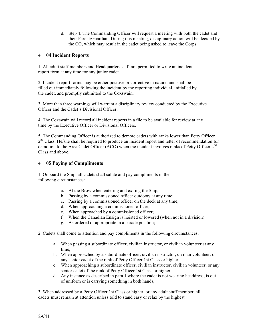d. Step 4. The Commanding Officer will request a meeting with both the cadet and their Parent/Guardian. During this meeting, disciplinary action will be decided by the CO, which may result in the cadet being asked to leave the Corps.

### **4 04 Incident Reports**

1. All adult staff members and Headquarters staff are permitted to write an incident report form at any time for any junior cadet.

2. Incident report forms may be either positive or corrective in nature, and shall be filled out immediately following the incident by the reporting individual, initialled by the cadet, and promptly submitted to the Coxswain.

3. More than three warnings will warrant a disciplinary review conducted by the Executive Officer and the Cadet's Divisional Officer.

4. The Coxswain will record all incident reports in a file to be available for review at any time by the Executive Officer or Divisional Officers.

5. The Commanding Officer is authorized to demote cadets with ranks lower than Petty Officer  $2<sup>nd</sup> Class. He/she shall be required to produce an incident report and letter of recommendation for$ demotion to the Area Cadet Officer (ACO) when the incident involves ranks of Petty Officer 2<sup>nd</sup> Class and above.

#### **4 05 Paying of Compliments**

1. Onboard the Ship, all cadets shall salute and pay compliments in the following circumstances:

- a. At the Brow when entering and exiting the Ship;
- b. Passing by a commissioned officer outdoors at any time;
- c. Passing by a commissioned officer on the deck at any time;
- d. When approaching a commissioned officer;
- e. When approached by a commissioned officer;
- f. When the Canadian Ensign is hoisted or lowered (when not in a division);
- g. As ordered or appropriate in a parade position;
- 2. Cadets shall come to attention and pay compliments in the following circumstances:
	- a. When passing a subordinate officer, civilian instructor, or civilian volunteer at any time;
	- b. When approached by a subordinate officer, civilian instructor, civilian volunteer, or any senior cadet of the rank of Petty Officer 1st Class or higher;
	- c. When approaching a subordinate officer, civilian instructor, civilian volunteer, or any senior cadet of the rank of Petty Officer 1st Class or higher;
	- d. Any instance as described in para 1 where the cadet is not wearing headdress, is out of uniform or is carrying something in both hands;

3. When addressed by a Petty Officer 1st Class or higher, or any adult staff member, all cadets must remain at attention unless told to stand easy or relax by the highest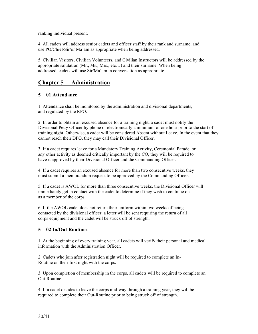ranking individual present.

4. All cadets will address senior cadets and officer staff by their rank and surname, and use PO/Chief/Sir/or Ma'am as appropriate when being addressed.

5. Civilian Visitors, Civilian Volunteers, and Civilian Instructors will be addressed by the appropriate salutation (Mr., Ms., Mrs., etc…) and their surname. When being addressed, cadets will use Sir/Ma'am in conversation as appropriate.

## **Chapter 5 Administration**

## **5 01 Attendance**

1. Attendance shall be monitored by the administration and divisional departments, and regulated by the RPO.

2. In order to obtain an excused absence for a training night, a cadet must notify the Divisional Petty Officer by phone or electronically a minimum of one hour prior to the start of training night. Otherwise, a cadet will be considered Absent without Leave. In the event that they cannot reach their DPO, they may call their Divisional Officer.

3. If a cadet requires leave for a Mandatory Training Activity, Ceremonial Parade, or any other activity as deemed critically important by the CO, they will be required to have it approved by their Divisional Officer and the Commanding Officer.

4. If a cadet requires an excused absence for more than two consecutive weeks, they must submit a memorandum request to be approved by the Commanding Officer.

5. If a cadet is AWOL for more than three consecutive weeks, the Divisional Officer will immediately get in contact with the cadet to determine if they wish to continue on as a member of the corps.

6. If the AWOL cadet does not return their uniform within two weeks of being contacted by the divisional officer, a letter will be sent requiring the return of all corps equipment and the cadet will be struck off of strength.

#### **5 02 In/Out Routines**

1. At the beginning of every training year, all cadets will verify their personal and medical information with the Administration Officer.

2. Cadets who join after registration night will be required to complete an In-Routine on their first night with the corps.

3. Upon completion of membership in the corps, all cadets will be required to complete an Out-Routine.

4. If a cadet decides to leave the corps mid-way through a training year, they will be required to complete their Out-Routine prior to being struck off of strength.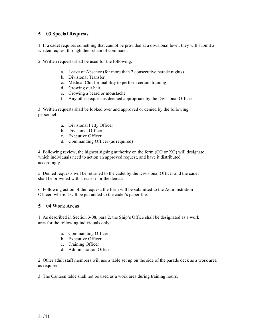## **5 03 Special Requests**

1. If a cadet requires something that cannot be provided at a divisional level, they will submit a written request through their chain of command.

2. Written requests shall be used for the following:

- a. Leave of Absence (for more than 2 consecutive parade nights)
- b. Divisional Transfer
- c. Medical Chit for inability to perform certain training
- d. Growing out hair
- e. Growing a beard or moustache
- f. Any other request as deemed appropriate by the Divisional Officer

3. Written requests shall be looked over and approved or denied by the following personnel:

- a. Divisional Petty Officer
- b. Divisional Officer
- c. Executive Officer
- d. Commanding Officer (as required)

4. Following review, the highest signing authority on the form (CO or XO) will designate which individuals need to action an approved request, and have it distributed accordingly.

5. Denied requests will be returned to the cadet by the Divisional Officer and the cadet shall be provided with a reason for the denial.

6. Following action of the request, the form will be submitted to the Administration Officer, where it will be put added to the cadet's paper file.

#### **5 04 Work Areas**

1. As described in Section 3-08, para 2, the Ship's Office shall be designated as a work area for the following individuals only:

- a. Commanding Officer
- b. Executive Officer
- c. Training Officer
- d. Administration Officer

2. Other adult staff members will use a table set up on the side of the parade deck as a work area as required.

3. The Canteen table shall not be used as a work area during training hours.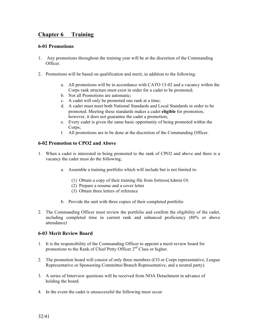# **Chapter 6 Training**

#### **6-01 Promotions**

- 1. Any promotions throughout the training year will be at the discretion of the Commanding Officer.
- 2. Promotions will be based on qualification and merit, in addition to the following:
	- a. All promotions will be in accordance with CATO 13-02 and a vacancy within the Corps rank structure must exist in order for a cadet to be promoted;
	- b. Not all Promotions are automatic;
	- c. A cadet will only be promoted one rank at a time;
	- d. A cadet must meet both National Standards and Local Standards in order to be promoted. Meeting these standards makes a cadet **eligible** for promotion, however, it does not guarantee the cadet a promotion;
	- e. Every cadet is given the same basic opportunity of being promoted within the Corps;
	- f. All promotions are to be done at the discretion of the Commanding Officer.

#### **6-02 Promotion to CPO2 and Above**

- 1. When a cadet is interested in being promoted to the rank of CPO2 and above and there is a vacancy the cadet must do the following;
	- a. Assemble a training portfolio which will include but is not limited to:
		- (1) Obtain a copy of their training file from fortress(Admin O)
		- (2) Prepare a resume and a cover letter
		- (3) Obtain three letters of reference
	- b. Provide the unit with three copies of their completed portfolio
- 2. The Commanding Officer must review the portfolio and confirm the eligibility of the cadet, including completed time in current rank and enhanced proficiency (80% or above attendance)

#### **6-03 Merit Review Board**

- 1. It is the responsibility of the Commanding Officer to appoint a merit review board for promotions to the Rank of Chief Petty Officer 2<sup>nd</sup> Class or higher.
- 2. The promotion board will consist of only three members (CO or Corps representative, League Representative or Sponsoring Committee/Branch Representative, and a neutral party).
- 3. A series of Interview questions will be received from NOA Detachment in advance of holding the board.
- 4. In the event the cadet is unsuccessful the following must occur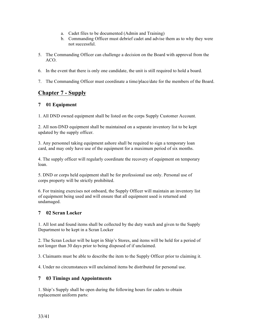- a. Cadet files to be documented (Admin and Training)
- b. Commanding Officer must debrief cadet and advise them as to why they were not successful.
- 5. The Commanding Officer can challenge a decision on the Board with approval from the ACO.
- 6. In the event that there is only one candidate, the unit is still required to hold a board.
- 7. The Commanding Officer must coordinate a time/place/date for the members of the Board.

## **Chapter 7 - Supply**

#### **7 01 Equipment**

1. All DND owned equipment shall be listed on the corps Supply Customer Account.

2. All non-DND equipment shall be maintained on a separate inventory list to be kept updated by the supply officer.

3. Any personnel taking equipment ashore shall be required to sign a temporary loan card, and may only have use of the equipment for a maximum period of six months.

4. The supply officer will regularly coordinate the recovery of equipment on temporary loan.

5. DND or corps held equipment shall be for professional use only. Personal use of corps property will be strictly prohibited.

6. For training exercises not onboard, the Supply Officer will maintain an inventory list of equipment being used and will ensure that all equipment used is returned and undamaged.

#### **7 02 Scran Locker**

1. All lost and found items shall be collected by the duty watch and given to the Supply Department to be kept in a Scran Locker

2. The Scran Locker will be kept in Ship's Stores, and items will be held for a period of not longer than 30 days prior to being disposed of if unclaimed.

3. Claimants must be able to describe the item to the Supply Officer prior to claiming it.

4. Under no circumstances will unclaimed items be distributed for personal use.

#### **7 03 Timings and Appointments**

1. Ship's Supply shall be open during the following hours for cadets to obtain replacement uniform parts: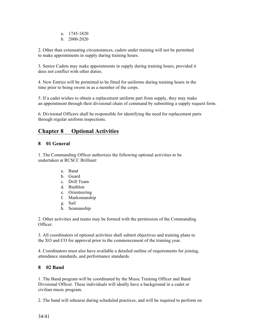- a. 1745-1820
- b. 2000-2020

2. Other than extenuating circumstances, cadets under training will not be permitted to make appointments in supply during training hours.

3. Senior Cadets may make appointments in supply during training hours, provided it does not conflict with other duties.

4. New Entries will be permitted to be fitted for uniforms during training hours in the time prior to being sworn in as a member of the corps.

5. If a cadet wishes to obtain a replacement uniform part from supply, they may make an appointment through their divisional chain of command by submitting a supply request form.

6. Divisional Officers shall be responsible for identifying the need for replacement parts through regular uniform inspections.

# **Chapter 8 Optional Activities**

## **8 01 General**

1. The Commanding Officer authorizes the following optional activities to be undertaken at RCSCC Brilliant:

- a. Band
- b. Guard
- c. Drill Team
- d. Biathlon
- e. Orienteering
- f. Marksmanship
- g. Sail
- h. Seamanship

2. Other activities and teams may be formed with the permission of the Commanding Officer.

3. All coordinators of optional activities shall submit objectives and training plans to the XO and CO for approval prior to the commencement of the training year.

4. Coordinators must also have available a detailed outline of requirements for joining, attendance standards, and performance standards.

## **8 02 Band**

1. The Band program will be coordinated by the Music Training Officer and Band Divisional Officer. These individuals will ideally have a background in a cadet or civilian music program.

2. The band will rehearse during scheduled practices, and will be required to perform on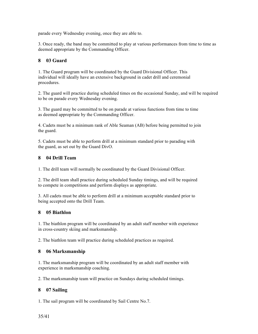parade every Wednesday evening, once they are able to.

3. Once ready, the band may be committed to play at various performances from time to time as deemed appropriate by the Commanding Officer.

## **8 03 Guard**

1. The Guard program will be coordinated by the Guard Divisional Officer. This individual will ideally have an extensive background in cadet drill and ceremonial procedures.

2. The guard will practice during scheduled times on the occasional Sunday, and will be required to be on parade every Wednesday evening.

3. The guard may be committed to be on parade at various functions from time to time as deemed appropriate by the Commanding Officer.

4. Cadets must be a minimum rank of Able Seaman (AB) before being permitted to join the guard.

5. Cadets must be able to perform drill at a minimum standard prior to parading with the guard, as set out by the Guard DivO.

## **8 04 Drill Team**

1. The drill team will normally be coordinated by the Guard Divisional Officer.

2. The drill team shall practice during scheduled Sunday timings, and will be required to compete in competitions and perform displays as appropriate.

3. All cadets must be able to perform drill at a minimum acceptable standard prior to being accepted onto the Drill Team.

#### **8 05 Biathlon**

1. The biathlon program will be coordinated by an adult staff member with experience in cross-country skiing and marksmanship.

2. The biathlon team will practice during scheduled practices as required.

#### **8 06 Marksmanship**

1. The marksmanship program will be coordinated by an adult staff member with experience in marksmanship coaching.

2. The marksmanship team will practice on Sundays during scheduled timings.

## **8 07 Sailing**

1. The sail program will be coordinated by Sail Centre No.7.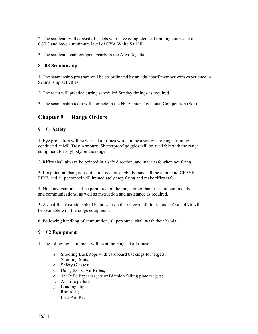2. The sail team will consist of cadets who have completed sail training courses at a CSTC and have a minimum level of CYA White Sail III.

3. The sail team shall compete yearly in the Area Regatta.

## **8 - 08 Seamanship**

1. The seamanship program will be co-ordinated by an adult staff member with experience in Seamanship activities.

2. The team will practice during scheduled Sunday timings as required.

3. The seamanship team will compete in the NOA Inter-Divisional Competition (Sea).

# **Chapter 9 Range Orders**

#### **9 01 Safety**

1. Eye protection will be worn at all times while in the areas where range training is conducted at ML Troy Armoury. Shatterproof goggles will be available with the range equipment for anybody on the range.

2. Rifles shall always be pointed in a safe direction, and made safe when not firing.

3. If a potential dangerous situation occurs, anybody may call the command CEASE FIRE, and all personnel will immediately stop firing and make rifles safe.

4. No conversation shall be permitted on the range other than essential commands and communications, as well as instruction and assistance as required.

5. A qualified first-aider shall be present on the range at all times, and a first aid kit will be available with the range equipment.

6. Following handling of ammunition, all personnel shall wash their hands.

## **9 02 Equipment**

1. The following equipment will be at the range at all times:

- a. Shooting Backstops with cardboard backings for targets;
- b. Shooting Mats;
- c. Safety Glasses;
- d. Daisy 835-C Air Rifles;
- e. Air Rifle Paper targets or Biathlon falling plate targets;
- f. Air rifle pellets;
- g. Loading clips;
- h. Ramrods;
- i. First Aid Kit;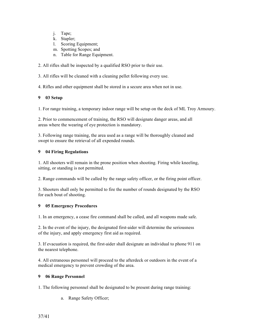- j. Tape;
- k. Stapler;
- l. Scoring Equipment;
- m. Spotting Scopes; and
- n. Table for Range Equipment.

2. All rifles shall be inspected by a qualified RSO prior to their use.

3. All rifles will be cleaned with a cleaning pellet following every use.

4. Rifles and other equipment shall be stored in a secure area when not in use.

## **9 03 Setup**

1. For range training, a temporary indoor range will be setup on the deck of ML Troy Armoury.

2. Prior to commencement of training, the RSO will designate danger areas, and all areas where the wearing of eye protection is mandatory.

3. Following range training, the area used as a range will be thoroughly cleaned and swept to ensure the retrieval of all expended rounds.

## **9 04 Firing Regulations**

1. All shooters will remain in the prone position when shooting. Firing while kneeling, sitting, or standing is not permitted.

2. Range commands will be called by the range safety officer, or the firing point officer.

3. Shooters shall only be permitted to fire the number of rounds designated by the RSO for each bout of shooting.

## **9 05 Emergency Procedures**

1. In an emergency, a cease fire command shall be called, and all weapons made safe.

2. In the event of the injury, the designated first-aider will determine the seriousness of the injury, and apply emergency first aid as required.

3. If evacuation is required, the first-aider shall designate an individual to phone 911 on the nearest telephone.

4. All extraneous personnel will proceed to the afterdeck or outdoors in the event of a medical emergency to prevent crowding of the area.

## **9 06 Range Personnel**

1. The following personnel shall be designated to be present during range training:

a. Range Safety Officer;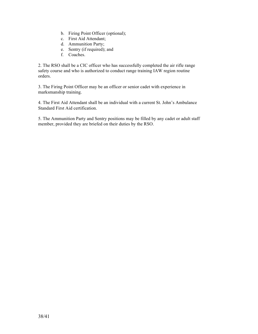- b. Firing Point Officer (optional);
- c. First Aid Attendant;
- d. Ammunition Party;
- e. Sentry (if required); and
- f. Coaches.

2. The RSO shall be a CIC officer who has successfully completed the air rifle range safety course and who is authorized to conduct range training IAW region routine orders.

3. The Firing Point Officer may be an officer or senior cadet with experience in marksmanship training.

4. The First Aid Attendant shall be an individual with a current St. John's Ambulance Standard First Aid certification.

5. The Ammunition Party and Sentry positions may be filled by any cadet or adult staff member, provided they are briefed on their duties by the RSO.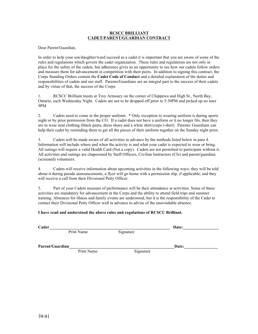#### **RCSCC BRILLIANT CADET/PARENT/GUARDIAN CONTRACT**

Dear Parent/Guardian,

In order to help your son/daughter/ward succeed as a cadet it is important that you are aware of some of the rules and regulations which govern the cadet organization. These rules and regulations are not only in place for the safety of the cadets, but adherence gives us an opportunity to see how our cadets follow orders and measure them for advancement in competition with their peers. In addition to signing this contract, the Corps Standing Orders contain the **Cadet Code of Conduct** and a detailed explanation of the duties and responsibilities of cadets and our staff. Parents/Guardians are an integral part to the success of their cadets and by virtue of that, the success of the Corps.

1. RCSCC Brilliant meets at Troy Armoury on the corner of Chippewa and High St., North Bay, Ontario, each Wednesday Night. Cadets are not to be dropped off prior to 5:30PM and picked up no later 9PM

2. Cadets need to come in the proper uniform. \* Only exception to wearing uniform is during sports night or by prior permission from the CO. If a cadet does not have a uniform or it no longer fits, then they are to wear neat clothing (black pants, dress shoes and a white shirt/corps t-shirt). Parents/ Guardians can help their cadet by reminding them to get all the pieces of their uniform together on the Sunday night prior.

3. Cadets will be made aware of all activities in advance by the methods listed below in para 4. Information will include where and when the activity is and what your cadet is expected to wear or bring. All outings will require a valid Health Card (Not a copy). Cadets are not permitted to participate without it. All activities and outings are chaperoned by Staff Officers, Civilian Instructors (CIs) and parent/guardian (screened) volunteers.

4. Cadets will receive information about upcoming activities in the following ways: they will be told about it during parade announcements, a flyer will go home with a permission slip, if applicable, and they will receive a call from their Divisional Petty Officer.

5. Part of your Cadets measure of performance will be their attendance at activities. Some of these activities are mandatory for advancement in the Corps and the ability to attend field trips and summer training. Absences for illness and family events are understood, but it is the responsibility of the Cadet to contact their Divisional Petty Officer well in advance to advise of the unavoidable absence.

#### **I have read and understood the above rules and regulations of RCSCC Brilliant.**

| $\sim$<br>Date:<br>Cadet |
|--------------------------|
|--------------------------|

Print Name Signature

Parent/Guardian **Date:** 

**Print Name** Signature